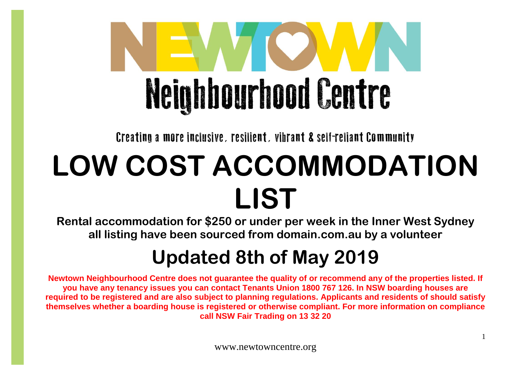

Creating a more inclusive, resilient, vibrant & self-reliant Community

## **LOW COST ACCOMMODATION LIST**

**Rental accommodation for \$250 or under per week in the Inner West Sydney all listing have been sourced from domain.com.au by a volunteer**

## **Updated 8th of May 2019**

**Newtown Neighbourhood Centre does not guarantee the quality of or recommend any of the properties listed. If you have any tenancy issues you can contact Tenants Union 1800 767 126. In NSW boarding houses are required to be registered and are also subject to planning regulations. Applicants and residents of should satisfy themselves whether a boarding house is registered or otherwise compliant. For more information on compliance call NSW Fair Trading on 13 32 20**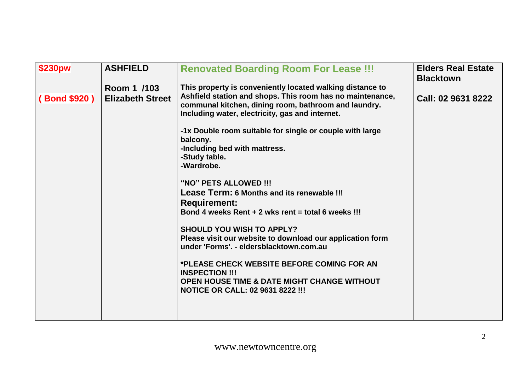| \$230pw            | <b>ASHFIELD</b>                        | <b>Renovated Boarding Room For Lease !!!</b>                                                                                                                                                                                                                                                                                                                                                                                                                                                                                                                                                                                                                                                                                                                                                                                                 | <b>Elders Real Estate</b><br><b>Blacktown</b> |
|--------------------|----------------------------------------|----------------------------------------------------------------------------------------------------------------------------------------------------------------------------------------------------------------------------------------------------------------------------------------------------------------------------------------------------------------------------------------------------------------------------------------------------------------------------------------------------------------------------------------------------------------------------------------------------------------------------------------------------------------------------------------------------------------------------------------------------------------------------------------------------------------------------------------------|-----------------------------------------------|
| <b>Bond \$920)</b> | Room 1 /103<br><b>Elizabeth Street</b> | This property is conveniently located walking distance to<br>Ashfield station and shops. This room has no maintenance,<br>communal kitchen, dining room, bathroom and laundry.<br>Including water, electricity, gas and internet.<br>-1x Double room suitable for single or couple with large<br>balcony.<br>-Including bed with mattress.<br>-Study table.<br>-Wardrobe.<br>"NO" PETS ALLOWED !!!<br>Lease Term: 6 Months and its renewable !!!<br><b>Requirement:</b><br>Bond 4 weeks Rent $+ 2$ wks rent = total 6 weeks !!!<br><b>SHOULD YOU WISH TO APPLY?</b><br>Please visit our website to download our application form<br>under 'Forms'. - eldersblacktown.com.au<br>*PLEASE CHECK WEBSITE BEFORE COMING FOR AN<br><b>INSPECTION !!!</b><br>OPEN HOUSE TIME & DATE MIGHT CHANGE WITHOUT<br><b>NOTICE OR CALL: 02 9631 8222 !!!</b> | Call: 02 9631 8222                            |
|                    |                                        |                                                                                                                                                                                                                                                                                                                                                                                                                                                                                                                                                                                                                                                                                                                                                                                                                                              |                                               |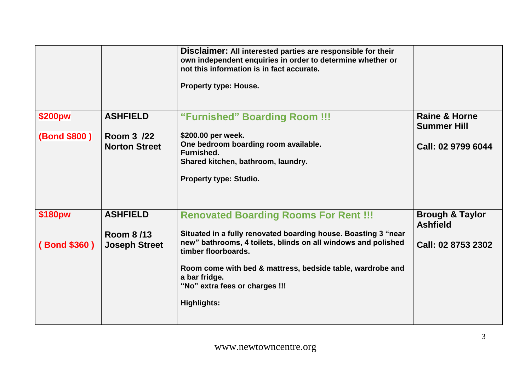|              |                                     | Disclaimer: All interested parties are responsible for their<br>own independent enquiries in order to determine whether or<br>not this information is in fact accurate.<br><b>Property type: House.</b>                     |                                                |
|--------------|-------------------------------------|-----------------------------------------------------------------------------------------------------------------------------------------------------------------------------------------------------------------------------|------------------------------------------------|
| \$200pw      | <b>ASHFIELD</b>                     | "Furnished" Boarding Room !!!                                                                                                                                                                                               | <b>Raine &amp; Horne</b><br><b>Summer Hill</b> |
| (Bond \$800) | Room 3 /22<br><b>Norton Street</b>  | \$200.00 per week.<br>One bedroom boarding room available.<br><b>Furnished.</b><br>Shared kitchen, bathroom, laundry.<br><b>Property type: Studio.</b>                                                                      | Call: 02 9799 6044                             |
| \$180pw      | <b>ASHFIELD</b><br><b>Room 8/13</b> | <b>Renovated Boarding Rooms For Rent !!!</b><br>Situated in a fully renovated boarding house. Boasting 3 "near                                                                                                              | <b>Brough &amp; Taylor</b><br><b>Ashfield</b>  |
| (Bond \$360) | <b>Joseph Street</b>                | new" bathrooms, 4 toilets, blinds on all windows and polished<br>timber floorboards.<br>Room come with bed & mattress, bedside table, wardrobe and<br>a bar fridge.<br>"No" extra fees or charges !!!<br><b>Highlights:</b> | Call: 02 8753 2302                             |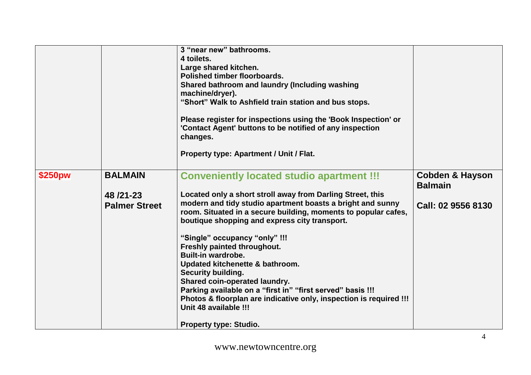|         |                                                    | 3 "near new" bathrooms.<br>4 toilets.<br>Large shared kitchen.<br>Polished timber floorboards.<br>Shared bathroom and laundry (Including washing<br>machine/dryer).<br>"Short" Walk to Ashfield train station and bus stops.<br>Please register for inspections using the 'Book Inspection' or<br>'Contact Agent' buttons to be notified of any inspection<br>changes.<br>Property type: Apartment / Unit / Flat.                                                                                                                                                                                                                                                 |                                                                    |
|---------|----------------------------------------------------|-------------------------------------------------------------------------------------------------------------------------------------------------------------------------------------------------------------------------------------------------------------------------------------------------------------------------------------------------------------------------------------------------------------------------------------------------------------------------------------------------------------------------------------------------------------------------------------------------------------------------------------------------------------------|--------------------------------------------------------------------|
| \$250pw | <b>BALMAIN</b><br>48/21-23<br><b>Palmer Street</b> | <b>Conveniently located studio apartment !!!</b><br>Located only a short stroll away from Darling Street, this<br>modern and tidy studio apartment boasts a bright and sunny<br>room. Situated in a secure building, moments to popular cafes,<br>boutique shopping and express city transport.<br>"Single" occupancy "only" !!!<br>Freshly painted throughout.<br><b>Built-in wardrobe.</b><br>Updated kitchenette & bathroom.<br><b>Security building.</b><br><b>Shared coin-operated laundry.</b><br>Parking available on a "first in" "first served" basis !!!<br>Photos & floorplan are indicative only, inspection is required !!!<br>Unit 48 available !!! | <b>Cobden &amp; Hayson</b><br><b>Balmain</b><br>Call: 02 9556 8130 |
|         |                                                    | <b>Property type: Studio.</b>                                                                                                                                                                                                                                                                                                                                                                                                                                                                                                                                                                                                                                     |                                                                    |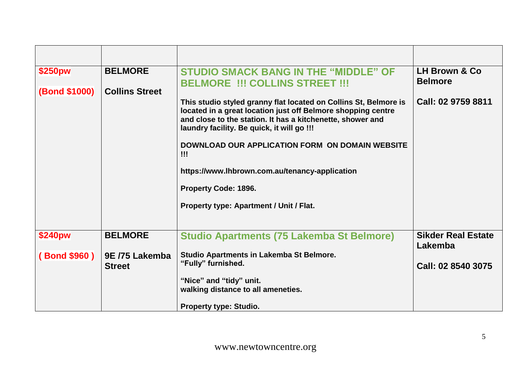| \$250pw              | <b>BELMORE</b>        | <b>STUDIO SMACK BANG IN THE "MIDDLE" OF</b><br><b>BELMORE !!! COLLINS STREET !!!</b>                                                                                                                                                         | LH Brown & Co<br><b>Belmore</b>      |
|----------------------|-----------------------|----------------------------------------------------------------------------------------------------------------------------------------------------------------------------------------------------------------------------------------------|--------------------------------------|
| <b>(Bond \$1000)</b> | <b>Collins Street</b> |                                                                                                                                                                                                                                              |                                      |
|                      |                       | This studio styled granny flat located on Collins St, Belmore is<br>located in a great location just off Belmore shopping centre<br>and close to the station. It has a kitchenette, shower and<br>laundry facility. Be quick, it will go !!! | Call: 02 9759 8811                   |
|                      |                       | DOWNLOAD OUR APPLICATION FORM ON DOMAIN WEBSITE<br>$\mathbf{III}$                                                                                                                                                                            |                                      |
|                      |                       | https://www.lhbrown.com.au/tenancy-application                                                                                                                                                                                               |                                      |
|                      |                       | Property Code: 1896.                                                                                                                                                                                                                         |                                      |
|                      |                       | Property type: Apartment / Unit / Flat.                                                                                                                                                                                                      |                                      |
|                      |                       |                                                                                                                                                                                                                                              |                                      |
| \$240pw              | <b>BELMORE</b>        | <b>Studio Apartments (75 Lakemba St Belmore)</b>                                                                                                                                                                                             | <b>Sikder Real Estate</b><br>Lakemba |
| (Bond \$960)         | 9E /75 Lakemba        | Studio Apartments in Lakemba St Belmore.                                                                                                                                                                                                     |                                      |
|                      | <b>Street</b>         | "Fully" furnished.                                                                                                                                                                                                                           | Call: 02 8540 3075                   |
|                      |                       | "Nice" and "tidy" unit.                                                                                                                                                                                                                      |                                      |
|                      |                       | walking distance to all ameneties.                                                                                                                                                                                                           |                                      |
|                      |                       | <b>Property type: Studio.</b>                                                                                                                                                                                                                |                                      |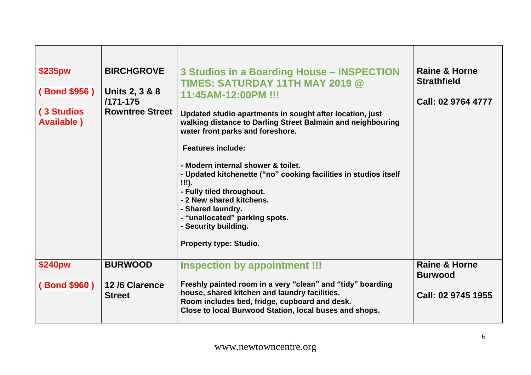| \$235pw<br>(Bond \$956)<br><b>(3 Studios</b><br><b>Available</b> ) | <b>BIRCHGROVE</b><br>Units 2, 3 & 8<br>$/171 - 175$<br><b>Rowntree Street</b> | 3 Studios in a Boarding House - INSPECTION<br>TIMES: SATURDAY 11TH MAY 2019 @<br>11:45AM-12:00PM !!!<br>Updated studio apartments in sought after location, just<br>walking distance to Darling Street Balmain and neighbouring<br>water front parks and foreshore.<br><b>Features include:</b><br>- Modern internal shower & toilet.<br>- Updated kitchenette ("no" cooking facilities in studios itself<br>$!!!)$ .<br>- Fully tiled throughout.<br>- 2 New shared kitchens.<br>- Shared laundry.<br>- "unallocated" parking spots.<br>- Security building.<br><b>Property type: Studio.</b> | <b>Raine &amp; Horne</b><br><b>Strathfield</b><br>Call: 02 9764 4777 |
|--------------------------------------------------------------------|-------------------------------------------------------------------------------|------------------------------------------------------------------------------------------------------------------------------------------------------------------------------------------------------------------------------------------------------------------------------------------------------------------------------------------------------------------------------------------------------------------------------------------------------------------------------------------------------------------------------------------------------------------------------------------------|----------------------------------------------------------------------|
| \$240pw<br><b>Bond \$960)</b>                                      | <b>BURWOOD</b><br>12/6 Clarence<br><b>Street</b>                              | <b>Inspection by appointment !!!</b><br>Freshly painted room in a very "clean" and "tidy" boarding<br>house, shared kitchen and laundry facilities.<br>Room includes bed, fridge, cupboard and desk.<br>Close to local Burwood Station, local buses and shops.                                                                                                                                                                                                                                                                                                                                 | <b>Raine &amp; Horne</b><br><b>Burwood</b><br>Call: 02 9745 1955     |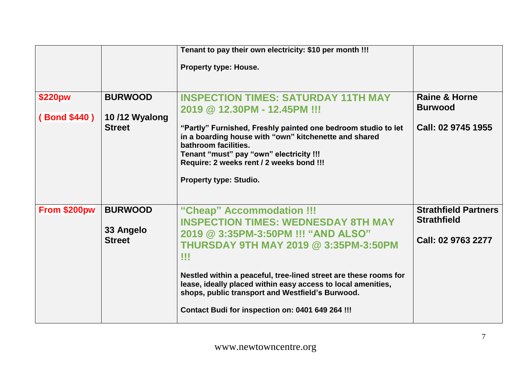|                               |                                                  | Tenant to pay their own electricity: \$10 per month !!!                                                                                                                                                                                  |                                                                  |
|-------------------------------|--------------------------------------------------|------------------------------------------------------------------------------------------------------------------------------------------------------------------------------------------------------------------------------------------|------------------------------------------------------------------|
|                               |                                                  | Property type: House.                                                                                                                                                                                                                    |                                                                  |
| \$220pw<br><b>Bond \$440)</b> | <b>BURWOOD</b><br>10/12 Wyalong<br><b>Street</b> | <b>INSPECTION TIMES: SATURDAY 11TH MAY</b><br>2019 @ 12.30PM - 12.45PM !!!<br>"Partly" Furnished, Freshly painted one bedroom studio to let<br>in a boarding house with "own" kitchenette and shared<br>bathroom facilities.             | <b>Raine &amp; Horne</b><br><b>Burwood</b><br>Call: 02 9745 1955 |
|                               |                                                  | Tenant "must" pay "own" electricity !!!<br>Require: 2 weeks rent / 2 weeks bond !!!<br>Property type: Studio.                                                                                                                            |                                                                  |
| From \$200pw                  | <b>BURWOOD</b>                                   | "Cheap" Accommodation !!!<br><b>INSPECTION TIMES: WEDNESDAY 8TH MAY</b>                                                                                                                                                                  | <b>Strathfield Partners</b><br><b>Strathfield</b>                |
|                               | 33 Angelo<br><b>Street</b>                       | 2019 @ 3:35PM-3:50PM !!! "AND ALSO"<br><b>THURSDAY 9TH MAY 2019 @ 3:35PM-3:50PM</b><br>w                                                                                                                                                 | Call: 02 9763 2277                                               |
|                               |                                                  | Nestled within a peaceful, tree-lined street are these rooms for<br>lease, ideally placed within easy access to local amenities,<br>shops, public transport and Westfield's Burwood.<br>Contact Budi for inspection on: 0401 649 264 !!! |                                                                  |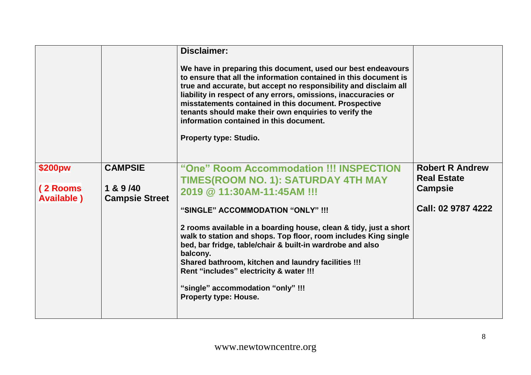|                                           |                                                      | Disclaimer:<br>We have in preparing this document, used our best endeavours<br>to ensure that all the information contained in this document is<br>true and accurate, but accept no responsibility and disclaim all<br>liability in respect of any errors, omissions, inaccuracies or<br>misstatements contained in this document. Prospective<br>tenants should make their own enquiries to verify the<br>information contained in this document.<br>Property type: Studio.                                                       |                                                                                      |
|-------------------------------------------|------------------------------------------------------|------------------------------------------------------------------------------------------------------------------------------------------------------------------------------------------------------------------------------------------------------------------------------------------------------------------------------------------------------------------------------------------------------------------------------------------------------------------------------------------------------------------------------------|--------------------------------------------------------------------------------------|
| \$200pw<br>(2 Rooms<br><b>Available</b> ) | <b>CAMPSIE</b><br>1 & 9 /40<br><b>Campsie Street</b> | "One" Room Accommodation !!! INSPECTION<br>TIMES(ROOM NO. 1): SATURDAY 4TH MAY<br>2019 @ 11:30AM-11:45AM !!!<br>"SINGLE" ACCOMMODATION "ONLY" !!!<br>2 rooms available in a boarding house, clean & tidy, just a short<br>walk to station and shops. Top floor, room includes King single<br>bed, bar fridge, table/chair & built-in wardrobe and also<br>balcony.<br>Shared bathroom, kitchen and laundry facilities !!!<br>Rent "includes" electricity & water !!!<br>"single" accommodation "only" !!!<br>Property type: House. | <b>Robert R Andrew</b><br><b>Real Estate</b><br><b>Campsie</b><br>Call: 02 9787 4222 |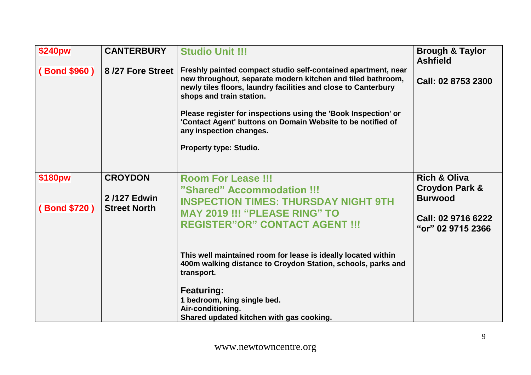| <b>\$240pw</b><br>(Bond \$960) | <b>CANTERBURY</b><br>8/27 Fore Street                | <b>Studio Unit !!!</b><br>Freshly painted compact studio self-contained apartment, near<br>new throughout, separate modern kitchen and tiled bathroom,<br>newly tiles floors, laundry facilities and close to Canterbury<br>shops and train station.<br>Please register for inspections using the 'Book Inspection' or<br>'Contact Agent' buttons on Domain Website to be notified of<br>any inspection changes.<br>Property type: Studio. | <b>Brough &amp; Taylor</b><br><b>Ashfield</b><br>Call: 02 8753 2300                                               |
|--------------------------------|------------------------------------------------------|--------------------------------------------------------------------------------------------------------------------------------------------------------------------------------------------------------------------------------------------------------------------------------------------------------------------------------------------------------------------------------------------------------------------------------------------|-------------------------------------------------------------------------------------------------------------------|
| \$180pw<br>(Bond \$720)        | <b>CROYDON</b><br>2/127 Edwin<br><b>Street North</b> | <b>Room For Lease !!!</b><br>"Shared" Accommodation !!!<br><b>INSPECTION TIMES: THURSDAY NIGHT 9TH</b><br><b>MAY 2019 !!! "PLEASE RING" TO</b><br><b>REGISTER"OR" CONTACT AGENT !!!</b><br>This well maintained room for lease is ideally located within<br>400m walking distance to Croydon Station, schools, parks and<br>transport.                                                                                                     | <b>Rich &amp; Oliva</b><br><b>Croydon Park &amp;</b><br><b>Burwood</b><br>Call: 02 9716 6222<br>"or" 02 9715 2366 |
|                                |                                                      | <b>Featuring:</b><br>1 bedroom, king single bed.<br>Air-conditioning.<br>Shared updated kitchen with gas cooking.                                                                                                                                                                                                                                                                                                                          |                                                                                                                   |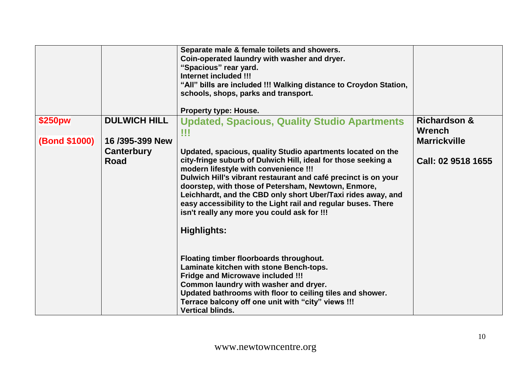|               |                     | Separate male & female toilets and showers.<br>Coin-operated laundry with washer and dryer.<br>"Spacious" rear yard.<br>Internet included !!!<br>"All" bills are included !!! Walking distance to Croydon Station,<br>schools, shops, parks and transport.<br><b>Property type: House.</b>                                                                                                                                                                                                    |                                          |
|---------------|---------------------|-----------------------------------------------------------------------------------------------------------------------------------------------------------------------------------------------------------------------------------------------------------------------------------------------------------------------------------------------------------------------------------------------------------------------------------------------------------------------------------------------|------------------------------------------|
| \$250pw       | <b>DULWICH HILL</b> | <b>Updated, Spacious, Quality Studio Apartments</b><br>!!!                                                                                                                                                                                                                                                                                                                                                                                                                                    | <b>Richardson &amp;</b><br><b>Wrench</b> |
| (Bond \$1000) | 16/395-399 New      |                                                                                                                                                                                                                                                                                                                                                                                                                                                                                               | <b>Marrickville</b>                      |
|               | Canterbury<br>Road  | Updated, spacious, quality Studio apartments located on the<br>city-fringe suburb of Dulwich Hill, ideal for those seeking a<br>modern lifestyle with convenience !!!<br>Dulwich Hill's vibrant restaurant and café precinct is on your<br>doorstep, with those of Petersham, Newtown, Enmore,<br>Leichhardt, and the CBD only short Uber/Taxi rides away, and<br>easy accessibility to the Light rail and regular buses. There<br>isn't really any more you could ask for !!!<br>Highlights: | Call: 02 9518 1655                       |
|               |                     | Floating timber floorboards throughout.<br>Laminate kitchen with stone Bench-tops.<br><b>Fridge and Microwave included !!!</b><br>Common laundry with washer and dryer.<br>Updated bathrooms with floor to ceiling tiles and shower.<br>Terrace balcony off one unit with "city" views !!!<br><b>Vertical blinds.</b>                                                                                                                                                                         |                                          |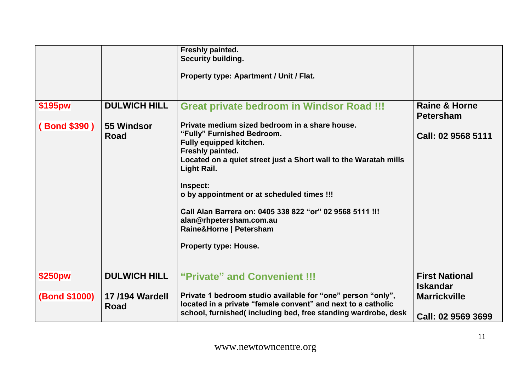|                      |                               | Freshly painted.<br>Security building.<br>Property type: Apartment / Unit / Flat.                                                                                                                                                                                                                                                                                                                                          |                                                              |
|----------------------|-------------------------------|----------------------------------------------------------------------------------------------------------------------------------------------------------------------------------------------------------------------------------------------------------------------------------------------------------------------------------------------------------------------------------------------------------------------------|--------------------------------------------------------------|
| \$195pw              | <b>DULWICH HILL</b>           | <b>Great private bedroom in Windsor Road !!!</b>                                                                                                                                                                                                                                                                                                                                                                           | <b>Raine &amp; Horne</b><br><b>Petersham</b>                 |
| (Bond \$390)         | 55 Windsor<br>Road            | Private medium sized bedroom in a share house.<br>"Fully" Furnished Bedroom.<br>Fully equipped kitchen.<br>Freshly painted.<br>Located on a quiet street just a Short wall to the Waratah mills<br>Light Rail.<br>Inspect:<br>o by appointment or at scheduled times !!!<br>Call Alan Barrera on: 0405 338 822 "or" 02 9568 5111 !!!<br>alan@rhpetersham.com.au<br>Raine&Horne   Petersham<br><b>Property type: House.</b> | Call: 02 9568 5111                                           |
| \$250pw              | <b>DULWICH HILL</b>           | "Private" and Convenient !!!                                                                                                                                                                                                                                                                                                                                                                                               | <b>First National</b>                                        |
| <b>(Bond \$1000)</b> | <b>17/194 Wardell</b><br>Road | Private 1 bedroom studio available for "one" person "only",<br>located in a private "female convent" and next to a catholic<br>school, furnished(including bed, free standing wardrobe, desk                                                                                                                                                                                                                               | <b>Iskandar</b><br><b>Marrickville</b><br>Call: 02 9569 3699 |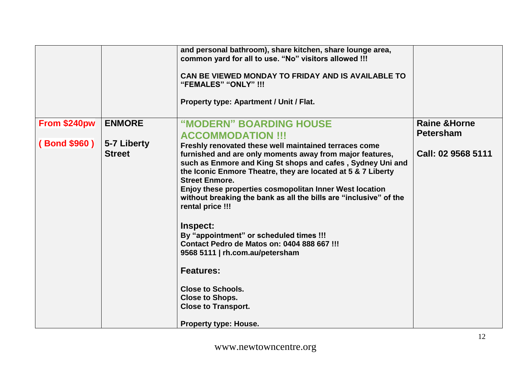|              |                              | and personal bathroom), share kitchen, share lounge area,<br>common yard for all to use. "No" visitors allowed !!!<br>CAN BE VIEWED MONDAY TO FRIDAY AND IS AVAILABLE TO<br>"FEMALES" "ONLY" !!!<br><b>Property type: Apartment / Unit / Flat.</b>                                                                                                                                                                                                                                  |                          |
|--------------|------------------------------|-------------------------------------------------------------------------------------------------------------------------------------------------------------------------------------------------------------------------------------------------------------------------------------------------------------------------------------------------------------------------------------------------------------------------------------------------------------------------------------|--------------------------|
| From \$240pw | <b>ENMORE</b>                | "MODERN" BOARDING HOUSE                                                                                                                                                                                                                                                                                                                                                                                                                                                             | <b>Raine &amp; Horne</b> |
|              |                              | <b>ACCOMMODATION !!!</b>                                                                                                                                                                                                                                                                                                                                                                                                                                                            | <b>Petersham</b>         |
| (Bond \$960) | 5-7 Liberty<br><b>Street</b> | Freshly renovated these well maintained terraces come<br>furnished and are only moments away from major features,<br>such as Enmore and King St shops and cafes, Sydney Uni and<br>the Iconic Enmore Theatre, they are located at 5 & 7 Liberty<br><b>Street Enmore.</b><br>Enjoy these properties cosmopolitan Inner West location<br>without breaking the bank as all the bills are "inclusive" of the<br>rental price !!!<br>Inspect:<br>By "appointment" or scheduled times !!! | Call: 02 9568 5111       |
|              |                              | Contact Pedro de Matos on: 0404 888 667 !!!<br>9568 5111   rh.com.au/petersham                                                                                                                                                                                                                                                                                                                                                                                                      |                          |
|              |                              | <b>Features:</b>                                                                                                                                                                                                                                                                                                                                                                                                                                                                    |                          |
|              |                              | <b>Close to Schools.</b>                                                                                                                                                                                                                                                                                                                                                                                                                                                            |                          |
|              |                              | <b>Close to Shops.</b>                                                                                                                                                                                                                                                                                                                                                                                                                                                              |                          |
|              |                              | <b>Close to Transport.</b>                                                                                                                                                                                                                                                                                                                                                                                                                                                          |                          |
|              |                              | <b>Property type: House.</b>                                                                                                                                                                                                                                                                                                                                                                                                                                                        |                          |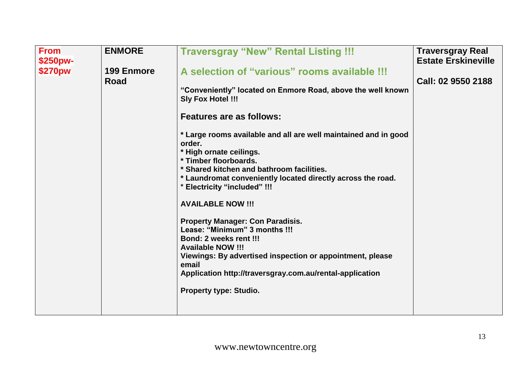| <b>From</b><br>\$250pw-<br>\$270pw | <b>ENMORE</b><br><b>199 Enmore</b><br>Road | <b>Traversgray "New" Rental Listing !!!</b><br>A selection of "various" rooms available !!!<br>"Conveniently" located on Enmore Road, above the well known<br><b>Sly Fox Hotel !!!</b><br><b>Features are as follows:</b><br>* Large rooms available and all are well maintained and in good<br>order.<br>* High ornate ceilings.<br>* Timber floorboards.<br>* Shared kitchen and bathroom facilities.<br>* Laundromat conveniently located directly across the road.<br>* Electricity "included" !!!<br><b>AVAILABLE NOW !!!</b><br><b>Property Manager: Con Paradisis.</b><br>Lease: "Minimum" 3 months !!!<br>Bond: 2 weeks rent !!!<br><b>Available NOW !!!</b><br>Viewings: By advertised inspection or appointment, please<br>email<br>Application http://traversgray.com.au/rental-application<br><b>Property type: Studio.</b> | <b>Traversgray Real</b><br><b>Estate Erskineville</b><br>Call: 02 9550 2188 |
|------------------------------------|--------------------------------------------|-----------------------------------------------------------------------------------------------------------------------------------------------------------------------------------------------------------------------------------------------------------------------------------------------------------------------------------------------------------------------------------------------------------------------------------------------------------------------------------------------------------------------------------------------------------------------------------------------------------------------------------------------------------------------------------------------------------------------------------------------------------------------------------------------------------------------------------------|-----------------------------------------------------------------------------|
|                                    |                                            |                                                                                                                                                                                                                                                                                                                                                                                                                                                                                                                                                                                                                                                                                                                                                                                                                                         |                                                                             |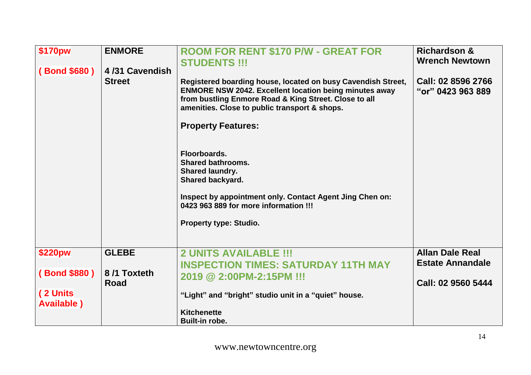| \$170pw<br><b>ENMORE</b><br>(Bond \$680)<br>4/31 Cavendish<br><b>Street</b> | <b>ROOM FOR RENT \$170 P/W - GREAT FOR</b><br><b>STUDENTS !!!</b><br>Registered boarding house, located on busy Cavendish Street,<br><b>ENMORE NSW 2042. Excellent location being minutes away</b><br>from bustling Enmore Road & King Street. Close to all<br>amenities. Close to public transport & shops.<br><b>Property Features:</b><br>Floorboards.<br><b>Shared bathrooms.</b><br><b>Shared laundry.</b><br><b>Shared backyard.</b><br>Inspect by appointment only. Contact Agent Jing Chen on:<br>0423 963 889 for more information !!!<br><b>Property type: Studio.</b> | <b>Richardson &amp;</b><br><b>Wrench Newtown</b><br>Call: 02 8596 2766<br>"or" 0423 963 889 |
|-----------------------------------------------------------------------------|----------------------------------------------------------------------------------------------------------------------------------------------------------------------------------------------------------------------------------------------------------------------------------------------------------------------------------------------------------------------------------------------------------------------------------------------------------------------------------------------------------------------------------------------------------------------------------|---------------------------------------------------------------------------------------------|
| <b>GLEBE</b><br>\$220pw                                                     | <b>2 UNITS AVAILABLE !!!</b><br><b>INSPECTION TIMES: SATURDAY 11TH MAY</b>                                                                                                                                                                                                                                                                                                                                                                                                                                                                                                       | <b>Allan Dale Real</b><br><b>Estate Annandale</b>                                           |
| (Bond \$880)<br>8/1 Toxteth<br><b>Road</b>                                  | 2019 @ 2:00PM-2:15PM !!!                                                                                                                                                                                                                                                                                                                                                                                                                                                                                                                                                         | Call: 02 9560 5444                                                                          |
| (2 Units<br><b>Available</b> )                                              | "Light" and "bright" studio unit in a "quiet" house.                                                                                                                                                                                                                                                                                                                                                                                                                                                                                                                             |                                                                                             |
|                                                                             | <b>Kitchenette</b><br>Built-in robe.                                                                                                                                                                                                                                                                                                                                                                                                                                                                                                                                             |                                                                                             |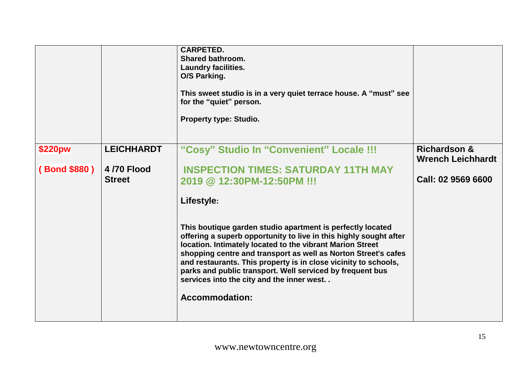|              |                             | <b>CARPETED.</b><br><b>Shared bathroom.</b><br><b>Laundry facilities.</b><br>O/S Parking.<br>This sweet studio is in a very quiet terrace house. A "must" see<br>for the "quiet" person.<br><b>Property type: Studio.</b>                                                                                                                                                                                                                                            |                                                     |
|--------------|-----------------------------|----------------------------------------------------------------------------------------------------------------------------------------------------------------------------------------------------------------------------------------------------------------------------------------------------------------------------------------------------------------------------------------------------------------------------------------------------------------------|-----------------------------------------------------|
| \$220pw      | <b>LEICHHARDT</b>           | "Cosy" Studio In "Convenient" Locale !!!                                                                                                                                                                                                                                                                                                                                                                                                                             | <b>Richardson &amp;</b><br><b>Wrench Leichhardt</b> |
| (Bond \$880) | 4/70 Flood<br><b>Street</b> | <b>INSPECTION TIMES: SATURDAY 11TH MAY</b><br>2019 @ 12:30PM-12:50PM !!!                                                                                                                                                                                                                                                                                                                                                                                             | Call: 02 9569 6600                                  |
|              |                             | Lifestyle:                                                                                                                                                                                                                                                                                                                                                                                                                                                           |                                                     |
|              |                             | This boutique garden studio apartment is perfectly located<br>offering a superb opportunity to live in this highly sought after<br>location. Intimately located to the vibrant Marion Street<br>shopping centre and transport as well as Norton Street's cafes<br>and restaurants. This property is in close vicinity to schools,<br>parks and public transport. Well serviced by frequent bus<br>services into the city and the inner west<br><b>Accommodation:</b> |                                                     |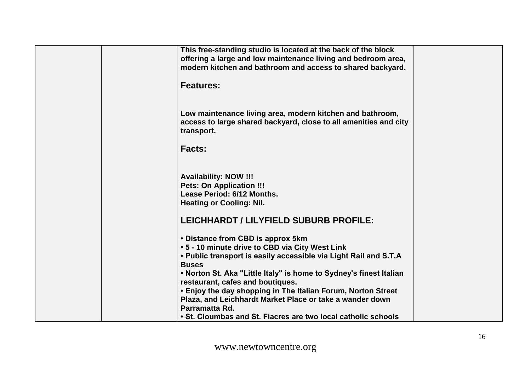| This free-standing studio is located at the back of the block<br>offering a large and low maintenance living and bedroom area,                                                                                                                  |  |
|-------------------------------------------------------------------------------------------------------------------------------------------------------------------------------------------------------------------------------------------------|--|
| modern kitchen and bathroom and access to shared backyard.                                                                                                                                                                                      |  |
| <b>Features:</b>                                                                                                                                                                                                                                |  |
| Low maintenance living area, modern kitchen and bathroom,<br>access to large shared backyard, close to all amenities and city<br>transport.                                                                                                     |  |
| <b>Facts:</b>                                                                                                                                                                                                                                   |  |
| <b>Availability: NOW !!!</b><br><b>Pets: On Application !!!</b><br>Lease Period: 6/12 Months.<br><b>Heating or Cooling: Nil.</b>                                                                                                                |  |
| LEICHHARDT / LILYFIELD SUBURB PROFILE:                                                                                                                                                                                                          |  |
| • Distance from CBD is approx 5km<br>• 5 - 10 minute drive to CBD via City West Link<br>. Public transport is easily accessible via Light Rail and S.T.A<br><b>Buses</b><br>. Norton St. Aka "Little Italy" is home to Sydney's finest Italian  |  |
| restaurant, cafes and boutiques.<br>• Enjoy the day shopping in The Italian Forum, Norton Street<br>Plaza, and Leichhardt Market Place or take a wander down<br>Parramatta Rd.<br>• St. Cloumbas and St. Fiacres are two local catholic schools |  |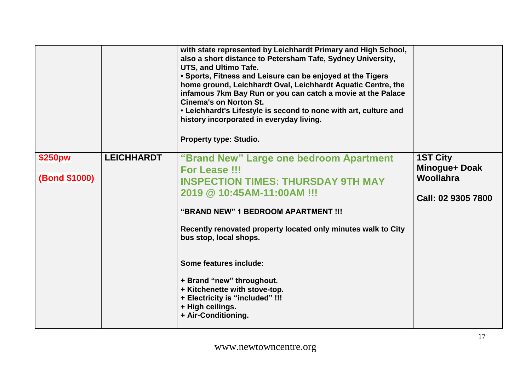|                                 |                   | with state represented by Leichhardt Primary and High School,<br>also a short distance to Petersham Tafe, Sydney University,<br>UTS, and Ultimo Tafe.<br>• Sports, Fitness and Leisure can be enjoyed at the Tigers<br>home ground, Leichhardt Oval, Leichhardt Aquatic Centre, the<br>infamous 7km Bay Run or you can catch a movie at the Palace<br><b>Cinema's on Norton St.</b><br>• Leichhardt's Lifestyle is second to none with art, culture and<br>history incorporated in everyday living.<br>Property type: Studio. |                                                      |
|---------------------------------|-------------------|-------------------------------------------------------------------------------------------------------------------------------------------------------------------------------------------------------------------------------------------------------------------------------------------------------------------------------------------------------------------------------------------------------------------------------------------------------------------------------------------------------------------------------|------------------------------------------------------|
| \$250pw<br><b>(Bond \$1000)</b> | <b>LEICHHARDT</b> | "Brand New" Large one bedroom Apartment<br>For Lease !!!                                                                                                                                                                                                                                                                                                                                                                                                                                                                      | <b>1ST City</b><br>Minogue+ Doak<br><b>Woollahra</b> |
|                                 |                   | <b>INSPECTION TIMES: THURSDAY 9TH MAY</b><br>2019 @ 10:45AM-11:00AM !!!                                                                                                                                                                                                                                                                                                                                                                                                                                                       | Call: 02 9305 7800                                   |
|                                 |                   | "BRAND NEW" 1 BEDROOM APARTMENT !!!                                                                                                                                                                                                                                                                                                                                                                                                                                                                                           |                                                      |
|                                 |                   | Recently renovated property located only minutes walk to City<br>bus stop, local shops.                                                                                                                                                                                                                                                                                                                                                                                                                                       |                                                      |
|                                 |                   | Some features include:                                                                                                                                                                                                                                                                                                                                                                                                                                                                                                        |                                                      |
|                                 |                   | + Brand "new" throughout.<br>+ Kitchenette with stove-top.<br>+ Electricity is "included" !!!<br>+ High ceilings.<br>+ Air-Conditioning.                                                                                                                                                                                                                                                                                                                                                                                      |                                                      |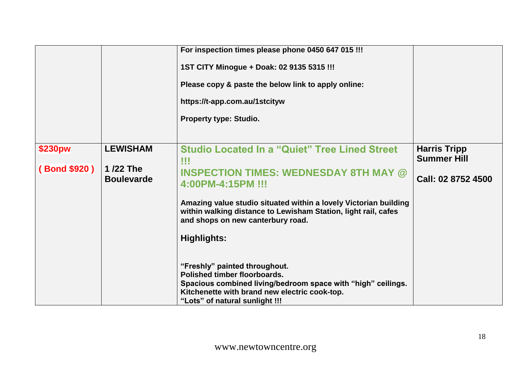|                         |                                                  | For inspection times please phone 0450 647 015 !!!<br>1ST CITY Minogue + Doak: 02 9135 5315 !!!<br>Please copy & paste the below link to apply online:<br>https://t-app.com.au/1stcityw<br><b>Property type: Studio.</b>                                                                                                   |                                                                 |
|-------------------------|--------------------------------------------------|----------------------------------------------------------------------------------------------------------------------------------------------------------------------------------------------------------------------------------------------------------------------------------------------------------------------------|-----------------------------------------------------------------|
| \$230pw<br>(Bond \$920) | <b>LEWISHAM</b><br>1/22 The<br><b>Boulevarde</b> | <b>Studio Located In a "Quiet" Tree Lined Street</b><br>!!!<br><b>INSPECTION TIMES: WEDNESDAY 8TH MAY @</b><br>4:00PM-4:15PM !!!<br>Amazing value studio situated within a lovely Victorian building<br>within walking distance to Lewisham Station, light rail, cafes<br>and shops on new canterbury road.<br>Highlights: | <b>Harris Tripp</b><br><b>Summer Hill</b><br>Call: 02 8752 4500 |
|                         |                                                  | "Freshly" painted throughout.<br>Polished timber floorboards.<br>Spacious combined living/bedroom space with "high" ceilings.<br>Kitchenette with brand new electric cook-top.<br>"Lots" of natural sunlight !!!                                                                                                           |                                                                 |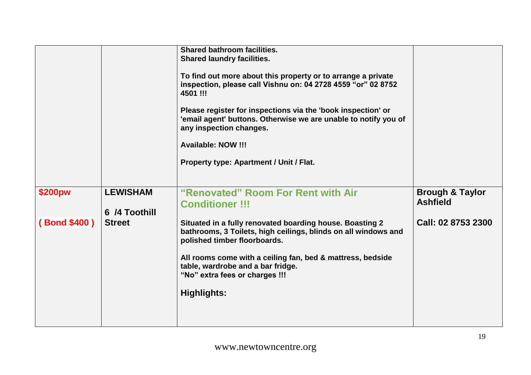|              |                                  | <b>Shared bathroom facilities.</b><br><b>Shared laundry facilities.</b><br>To find out more about this property or to arrange a private<br>inspection, please call Vishnu on: 04 2728 4559 "or" 02 8752<br>4501 !!!<br>Please register for inspections via the 'book inspection' or<br>'email agent' buttons. Otherwise we are unable to notify you of<br>any inspection changes.<br><b>Available: NOW !!!</b><br><b>Property type: Apartment / Unit / Flat.</b> |                                               |
|--------------|----------------------------------|------------------------------------------------------------------------------------------------------------------------------------------------------------------------------------------------------------------------------------------------------------------------------------------------------------------------------------------------------------------------------------------------------------------------------------------------------------------|-----------------------------------------------|
| \$200pw      | <b>LEWISHAM</b><br>6 /4 Toothill | "Renovated" Room For Rent with Air<br><b>Conditioner !!!</b>                                                                                                                                                                                                                                                                                                                                                                                                     | <b>Brough &amp; Taylor</b><br><b>Ashfield</b> |
| (Bond \$400) | <b>Street</b>                    | Situated in a fully renovated boarding house. Boasting 2<br>bathrooms, 3 Toilets, high ceilings, blinds on all windows and<br>polished timber floorboards.<br>All rooms come with a ceiling fan, bed & mattress, bedside<br>table, wardrobe and a bar fridge.<br>"No" extra fees or charges !!!<br><b>Highlights:</b>                                                                                                                                            | Call: 02 8753 2300                            |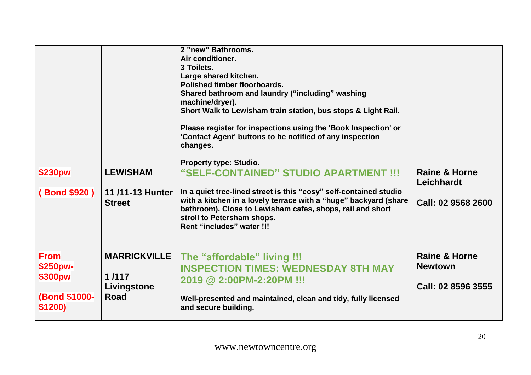|                                                                |                                                            | 2 "new" Bathrooms.<br>Air conditioner.<br>3 Toilets.<br>Large shared kitchen.<br>Polished timber floorboards.<br>Shared bathroom and laundry ("including" washing<br>machine/dryer).<br>Short Walk to Lewisham train station, bus stops & Light Rail.<br>Please register for inspections using the 'Book Inspection' or<br>'Contact Agent' buttons to be notified of any inspection<br>changes.<br>Property type: Studio. |                                                                  |
|----------------------------------------------------------------|------------------------------------------------------------|---------------------------------------------------------------------------------------------------------------------------------------------------------------------------------------------------------------------------------------------------------------------------------------------------------------------------------------------------------------------------------------------------------------------------|------------------------------------------------------------------|
| \$230pw                                                        | <b>LEWISHAM</b>                                            | "SELF-CONTAINED" STUDIO APARTMENT !!!                                                                                                                                                                                                                                                                                                                                                                                     | <b>Raine &amp; Horne</b><br><b>Leichhardt</b>                    |
| (Bond \$920)                                                   | 11/11-13 Hunter<br><b>Street</b>                           | In a quiet tree-lined street is this "cosy" self-contained studio<br>with a kitchen in a lovely terrace with a "huge" backyard (share<br>bathroom). Close to Lewisham cafes, shops, rail and short<br>stroll to Petersham shops.<br>Rent "includes" water !!!                                                                                                                                                             | Call: 02 9568 2600                                               |
| <b>From</b><br>\$250pw-<br>\$300pw<br>(Bond \$1000-<br>\$1200) | <b>MARRICKVILLE</b><br>1/117<br>Livingstone<br><b>Road</b> | The "affordable" living !!!<br><b>INSPECTION TIMES: WEDNESDAY 8TH MAY</b><br>2019 @ 2:00PM-2:20PM !!!<br>Well-presented and maintained, clean and tidy, fully licensed<br>and secure building.                                                                                                                                                                                                                            | <b>Raine &amp; Horne</b><br><b>Newtown</b><br>Call: 02 8596 3555 |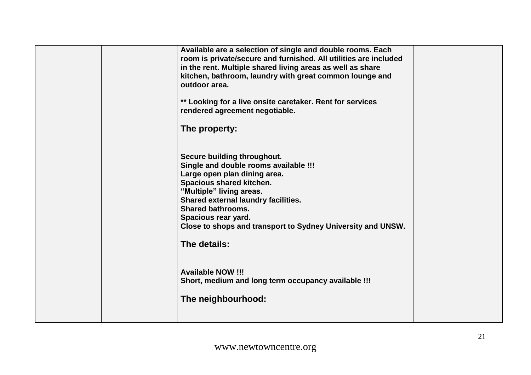| Available are a selection of single and double rooms. Each<br>room is private/secure and furnished. All utilities are included<br>in the rent. Multiple shared living areas as well as share<br>kitchen, bathroom, laundry with great common lounge and<br>outdoor area.<br>** Looking for a live onsite caretaker. Rent for services<br>rendered agreement negotiable. |  |
|-------------------------------------------------------------------------------------------------------------------------------------------------------------------------------------------------------------------------------------------------------------------------------------------------------------------------------------------------------------------------|--|
| The property:                                                                                                                                                                                                                                                                                                                                                           |  |
| Secure building throughout.<br>Single and double rooms available !!!<br>Large open plan dining area.<br>Spacious shared kitchen.<br>"Multiple" living areas.<br>Shared external laundry facilities.<br><b>Shared bathrooms.</b><br>Spacious rear yard.<br>Close to shops and transport to Sydney University and UNSW.<br>The details:                                   |  |
| <b>Available NOW !!!</b><br>Short, medium and long term occupancy available !!!                                                                                                                                                                                                                                                                                         |  |
| The neighbourhood:                                                                                                                                                                                                                                                                                                                                                      |  |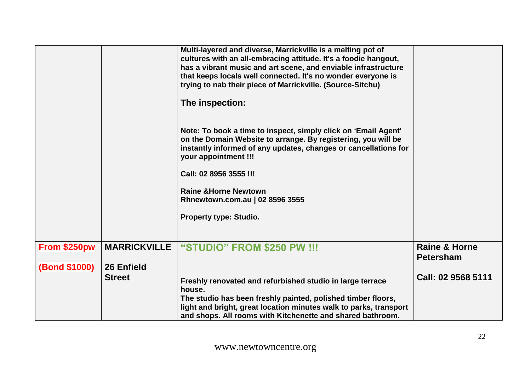|                      |                     | Multi-layered and diverse, Marrickville is a melting pot of<br>cultures with an all-embracing attitude. It's a foodie hangout,<br>has a vibrant music and art scene, and enviable infrastructure<br>that keeps locals well connected. It's no wonder everyone is<br>trying to nab their piece of Marrickville. (Source-Sitchu) |                                              |
|----------------------|---------------------|--------------------------------------------------------------------------------------------------------------------------------------------------------------------------------------------------------------------------------------------------------------------------------------------------------------------------------|----------------------------------------------|
|                      |                     | The inspection:                                                                                                                                                                                                                                                                                                                |                                              |
|                      |                     | Note: To book a time to inspect, simply click on 'Email Agent'<br>on the Domain Website to arrange. By registering, you will be<br>instantly informed of any updates, changes or cancellations for<br>your appointment !!!                                                                                                     |                                              |
|                      |                     | Call: 02 8956 3555 !!!                                                                                                                                                                                                                                                                                                         |                                              |
|                      |                     | <b>Raine &amp; Horne Newtown</b><br>Rhnewtown.com.au   02 8596 3555                                                                                                                                                                                                                                                            |                                              |
|                      |                     | <b>Property type: Studio.</b>                                                                                                                                                                                                                                                                                                  |                                              |
| From \$250pw         | <b>MARRICKVILLE</b> | "STUDIO" FROM \$250 PW !!!                                                                                                                                                                                                                                                                                                     | <b>Raine &amp; Horne</b><br><b>Petersham</b> |
| <b>(Bond \$1000)</b> | 26 Enfield          |                                                                                                                                                                                                                                                                                                                                |                                              |
|                      | <b>Street</b>       | Freshly renovated and refurbished studio in large terrace<br>house.                                                                                                                                                                                                                                                            | Call: 02 9568 5111                           |
|                      |                     | The studio has been freshly painted, polished timber floors,<br>light and bright, great location minutes walk to parks, transport<br>and shops. All rooms with Kitchenette and shared bathroom.                                                                                                                                |                                              |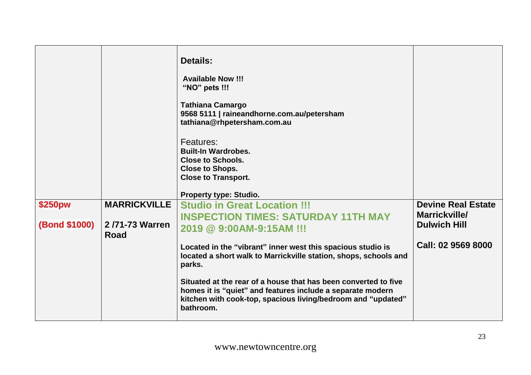|                      |                        | <b>Details:</b><br><b>Available Now !!!</b><br>"NO" pets !!!<br><b>Tathiana Camargo</b><br>9568 5111   raineandhorne.com.au/petersham<br>tathiana@rhpetersham.com.au<br>Features:<br><b>Built-In Wardrobes.</b><br><b>Close to Schools.</b><br><b>Close to Shops.</b><br><b>Close to Transport.</b><br><b>Property type: Studio.</b> |                                            |
|----------------------|------------------------|--------------------------------------------------------------------------------------------------------------------------------------------------------------------------------------------------------------------------------------------------------------------------------------------------------------------------------------|--------------------------------------------|
| \$250pw              | <b>MARRICKVILLE</b>    | <b>Studio in Great Location !!!</b><br><b>INSPECTION TIMES: SATURDAY 11TH MAY</b>                                                                                                                                                                                                                                                    | <b>Devine Real Estate</b><br>Marrickville/ |
| <b>(Bond \$1000)</b> | 2/71-73 Warren<br>Road | 2019 @ 9:00AM-9:15AM !!!                                                                                                                                                                                                                                                                                                             | <b>Dulwich Hill</b>                        |
|                      |                        | Located in the "vibrant" inner west this spacious studio is<br>located a short walk to Marrickville station, shops, schools and<br>parks.                                                                                                                                                                                            | Call: 02 9569 8000                         |
|                      |                        | Situated at the rear of a house that has been converted to five<br>homes it is "quiet" and features include a separate modern<br>kitchen with cook-top, spacious living/bedroom and "updated"<br>bathroom.                                                                                                                           |                                            |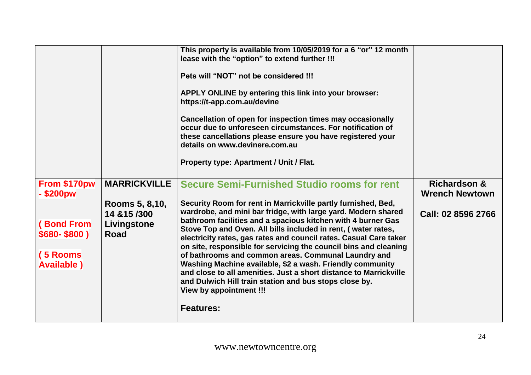|                                                                                                 |                                                                                      | This property is available from 10/05/2019 for a 6 "or" 12 month<br>lease with the "option" to extend further !!!<br>Pets will "NOT" not be considered !!!<br>APPLY ONLINE by entering this link into your browser:<br>https://t-app.com.au/devine<br>Cancellation of open for inspection times may occasionally<br>occur due to unforeseen circumstances. For notification of<br>these cancellations please ensure you have registered your<br>details on www.devinere.com.au<br><b>Property type: Apartment / Unit / Flat.</b>                                                                                                                                                                                                                                 |                                                                        |
|-------------------------------------------------------------------------------------------------|--------------------------------------------------------------------------------------|------------------------------------------------------------------------------------------------------------------------------------------------------------------------------------------------------------------------------------------------------------------------------------------------------------------------------------------------------------------------------------------------------------------------------------------------------------------------------------------------------------------------------------------------------------------------------------------------------------------------------------------------------------------------------------------------------------------------------------------------------------------|------------------------------------------------------------------------|
| From \$170pw<br>- \$200pw<br><b>(Bond From</b><br>$$680-$800$<br>(5 Rooms<br><b>Available</b> ) | <b>MARRICKVILLE</b><br>Rooms 5, 8,10,<br>14 & 15 / 300<br>Livingstone<br><b>Road</b> | <b>Secure Semi-Furnished Studio rooms for rent</b><br>Security Room for rent in Marrickville partly furnished, Bed,<br>wardrobe, and mini bar fridge, with large yard. Modern shared<br>bathroom facilities and a spacious kitchen with 4 burner Gas<br>Stove Top and Oven. All bills included in rent, (water rates,<br>electricity rates, gas rates and council rates. Casual Care taker<br>on site, responsible for servicing the council bins and cleaning<br>of bathrooms and common areas. Communal Laundry and<br>Washing Machine available, \$2 a wash. Friendly community<br>and close to all amenities. Just a short distance to Marrickville<br>and Dulwich Hill train station and bus stops close by.<br>View by appointment !!!<br><b>Features:</b> | <b>Richardson &amp;</b><br><b>Wrench Newtown</b><br>Call: 02 8596 2766 |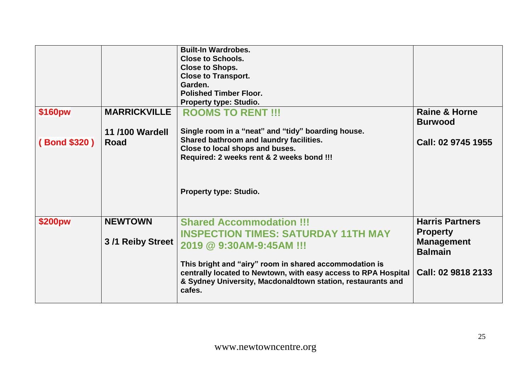|              |                                    | <b>Built-In Wardrobes.</b><br><b>Close to Schools.</b><br><b>Close to Shops.</b><br><b>Close to Transport.</b><br>Garden.<br><b>Polished Timber Floor.</b><br><b>Property type: Studio.</b>                                                                                                                    |                                                                                                        |
|--------------|------------------------------------|----------------------------------------------------------------------------------------------------------------------------------------------------------------------------------------------------------------------------------------------------------------------------------------------------------------|--------------------------------------------------------------------------------------------------------|
| \$160pw      | <b>MARRICKVILLE</b>                | <b>ROOMS TO RENT !!!</b>                                                                                                                                                                                                                                                                                       | <b>Raine &amp; Horne</b><br><b>Burwood</b>                                                             |
| (Bond \$320) | <b>11/100 Wardell</b><br>Road      | Single room in a "neat" and "tidy" boarding house.<br>Shared bathroom and laundry facilities.<br>Close to local shops and buses.<br>Required: 2 weeks rent & 2 weeks bond !!!<br><b>Property type: Studio.</b>                                                                                                 | Call: 02 9745 1955                                                                                     |
| \$200pw      | <b>NEWTOWN</b><br>3/1 Reiby Street | <b>Shared Accommodation !!!</b><br><b>INSPECTION TIMES: SATURDAY 11TH MAY</b><br>2019 @ 9:30AM-9:45AM !!!<br>This bright and "airy" room in shared accommodation is<br>centrally located to Newtown, with easy access to RPA Hospital<br>& Sydney University, Macdonaldtown station, restaurants and<br>cafes. | <b>Harris Partners</b><br><b>Property</b><br><b>Management</b><br><b>Balmain</b><br>Call: 02 9818 2133 |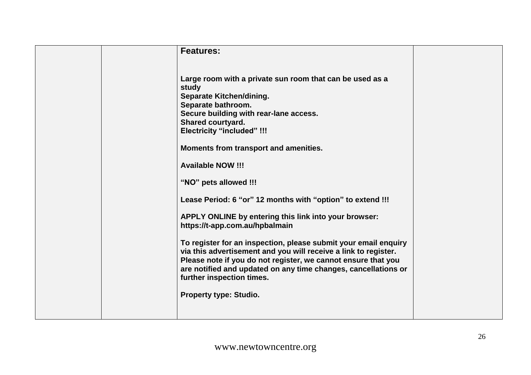| <b>Features:</b>                                                                                                                                                                                                                                                                                                                                                                                                                                                                             |
|----------------------------------------------------------------------------------------------------------------------------------------------------------------------------------------------------------------------------------------------------------------------------------------------------------------------------------------------------------------------------------------------------------------------------------------------------------------------------------------------|
| Large room with a private sun room that can be used as a<br>study<br><b>Separate Kitchen/dining.</b><br>Separate bathroom.<br>Secure building with rear-lane access.<br><b>Shared courtyard.</b><br><b>Electricity "included" !!!</b><br>Moments from transport and amenities.<br><b>Available NOW !!!</b><br>"NO" pets allowed !!!                                                                                                                                                          |
| Lease Period: 6 "or" 12 months with "option" to extend !!!<br>APPLY ONLINE by entering this link into your browser:<br>https://t-app.com.au/hpbalmain<br>To register for an inspection, please submit your email enquiry<br>via this advertisement and you will receive a link to register.<br>Please note if you do not register, we cannot ensure that you<br>are notified and updated on any time changes, cancellations or<br>further inspection times.<br><b>Property type: Studio.</b> |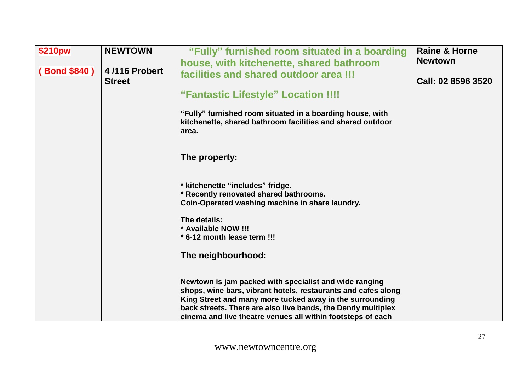| \$210pw      | <b>NEWTOWN</b>                 | "Fully" furnished room situated in a boarding<br>house, with kitchenette, shared bathroom                                                                                                                                                                                                                          | <b>Raine &amp; Horne</b><br><b>Newtown</b> |
|--------------|--------------------------------|--------------------------------------------------------------------------------------------------------------------------------------------------------------------------------------------------------------------------------------------------------------------------------------------------------------------|--------------------------------------------|
| (Bond \$840) | 4/116 Probert<br><b>Street</b> | facilities and shared outdoor area !!!                                                                                                                                                                                                                                                                             | Call: 02 8596 3520                         |
|              |                                | "Fantastic Lifestyle" Location !!!!                                                                                                                                                                                                                                                                                |                                            |
|              |                                | "Fully" furnished room situated in a boarding house, with<br>kitchenette, shared bathroom facilities and shared outdoor<br>area.                                                                                                                                                                                   |                                            |
|              |                                | The property:                                                                                                                                                                                                                                                                                                      |                                            |
|              |                                | * kitchenette "includes" fridge.<br>* Recently renovated shared bathrooms.<br>Coin-Operated washing machine in share laundry.                                                                                                                                                                                      |                                            |
|              |                                | The details:<br>* Available NOW !!!                                                                                                                                                                                                                                                                                |                                            |
|              |                                | * 6-12 month lease term !!!                                                                                                                                                                                                                                                                                        |                                            |
|              |                                | The neighbourhood:                                                                                                                                                                                                                                                                                                 |                                            |
|              |                                | Newtown is jam packed with specialist and wide ranging<br>shops, wine bars, vibrant hotels, restaurants and cafes along<br>King Street and many more tucked away in the surrounding<br>back streets. There are also live bands, the Dendy multiplex<br>cinema and live theatre venues all within footsteps of each |                                            |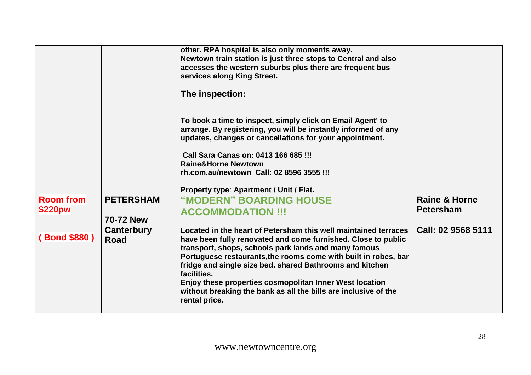|                  |                    | other. RPA hospital is also only moments away.<br>Newtown train station is just three stops to Central and also<br>accesses the western suburbs plus there are frequent bus<br>services along King Street.<br>The inspection:                                                                                                                                                                                                                                                         |                          |
|------------------|--------------------|---------------------------------------------------------------------------------------------------------------------------------------------------------------------------------------------------------------------------------------------------------------------------------------------------------------------------------------------------------------------------------------------------------------------------------------------------------------------------------------|--------------------------|
|                  |                    | To book a time to inspect, simply click on Email Agent' to<br>arrange. By registering, you will be instantly informed of any<br>updates, changes or cancellations for your appointment.                                                                                                                                                                                                                                                                                               |                          |
|                  |                    | Call Sara Canas on: 0413 166 685 !!!                                                                                                                                                                                                                                                                                                                                                                                                                                                  |                          |
|                  |                    | <b>Raine&amp;Horne Newtown</b>                                                                                                                                                                                                                                                                                                                                                                                                                                                        |                          |
|                  |                    | rh.com.au/newtown Call: 02 8596 3555 !!!                                                                                                                                                                                                                                                                                                                                                                                                                                              |                          |
|                  |                    | Property type: Apartment / Unit / Flat.                                                                                                                                                                                                                                                                                                                                                                                                                                               |                          |
| <b>Room from</b> | <b>PETERSHAM</b>   | "MODERN" BOARDING HOUSE                                                                                                                                                                                                                                                                                                                                                                                                                                                               | <b>Raine &amp; Horne</b> |
| \$220pw          |                    | <b>ACCOMMODATION !!!</b>                                                                                                                                                                                                                                                                                                                                                                                                                                                              | <b>Petersham</b>         |
|                  | <b>70-72 New</b>   |                                                                                                                                                                                                                                                                                                                                                                                                                                                                                       |                          |
| (Bond \$880)     | Canterbury<br>Road | Located in the heart of Petersham this well maintained terraces<br>have been fully renovated and come furnished. Close to public<br>transport, shops, schools park lands and many famous<br>Portuguese restaurants, the rooms come with built in robes, bar<br>fridge and single size bed. shared Bathrooms and kitchen<br>facilities.<br>Enjoy these properties cosmopolitan Inner West location<br>without breaking the bank as all the bills are inclusive of the<br>rental price. | Call: 02 9568 5111       |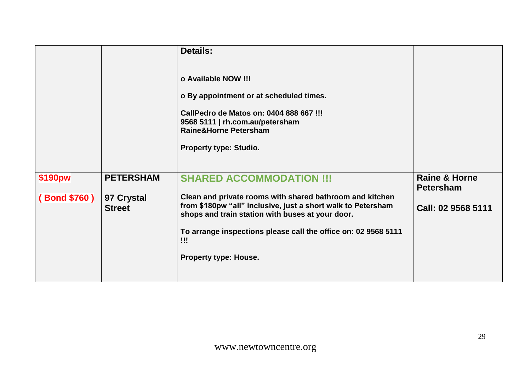|                         |                                                 | <b>Details:</b><br>o Available NOW !!!<br>o By appointment or at scheduled times.<br>CallPedro de Matos on: 0404 888 667 !!!<br>9568 5111   rh.com.au/petersham<br><b>Raine&amp;Horne Petersham</b><br>Property type: Studio.                                                                                     |                                                                    |
|-------------------------|-------------------------------------------------|-------------------------------------------------------------------------------------------------------------------------------------------------------------------------------------------------------------------------------------------------------------------------------------------------------------------|--------------------------------------------------------------------|
| \$190pw<br>(Bond \$760) | <b>PETERSHAM</b><br>97 Crystal<br><b>Street</b> | <b>SHARED ACCOMMODATION !!!</b><br>Clean and private rooms with shared bathroom and kitchen<br>from \$180pw "all" inclusive, just a short walk to Petersham<br>shops and train station with buses at your door.<br>To arrange inspections please call the office on: 02 9568 5111<br>!!!<br>Property type: House. | <b>Raine &amp; Horne</b><br><b>Petersham</b><br>Call: 02 9568 5111 |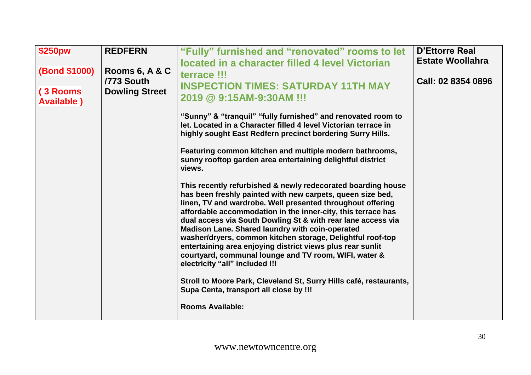| \$250pw                        | <b>REDFERN</b>               | "Fully" furnished and "renovated" rooms to let<br>located in a character filled 4 level Victorian                                                                                                                                                                                                                                                                                                                                                                                                                                                                                                  | <b>D'Ettorre Real</b><br><b>Estate Woollahra</b> |
|--------------------------------|------------------------------|----------------------------------------------------------------------------------------------------------------------------------------------------------------------------------------------------------------------------------------------------------------------------------------------------------------------------------------------------------------------------------------------------------------------------------------------------------------------------------------------------------------------------------------------------------------------------------------------------|--------------------------------------------------|
| (Bond \$1000)                  | Rooms 6, A & C<br>/773 South | terrace !!!<br><b>INSPECTION TIMES: SATURDAY 11TH MAY</b>                                                                                                                                                                                                                                                                                                                                                                                                                                                                                                                                          | Call: 02 8354 0896                               |
| (3 Rooms<br><b>Available</b> ) | <b>Dowling Street</b>        | 2019 @ 9:15AM-9:30AM !!!                                                                                                                                                                                                                                                                                                                                                                                                                                                                                                                                                                           |                                                  |
|                                |                              | "Sunny" & "tranguil" "fully furnished" and renovated room to<br>let. Located in a Character filled 4 level Victorian terrace in<br>highly sought East Redfern precinct bordering Surry Hills.                                                                                                                                                                                                                                                                                                                                                                                                      |                                                  |
|                                |                              | Featuring common kitchen and multiple modern bathrooms,<br>sunny rooftop garden area entertaining delightful district<br>views.                                                                                                                                                                                                                                                                                                                                                                                                                                                                    |                                                  |
|                                |                              | This recently refurbished & newly redecorated boarding house<br>has been freshly painted with new carpets, queen size bed,<br>linen, TV and wardrobe. Well presented throughout offering<br>affordable accommodation in the inner-city, this terrace has<br>dual access via South Dowling St & with rear lane access via<br>Madison Lane. Shared laundry with coin-operated<br>washer/dryers, common kitchen storage, Delightful roof-top<br>entertaining area enjoying district views plus rear sunlit<br>courtyard, communal lounge and TV room, WIFI, water &<br>electricity "all" included !!! |                                                  |
|                                |                              | Stroll to Moore Park, Cleveland St, Surry Hills café, restaurants,<br>Supa Centa, transport all close by !!!                                                                                                                                                                                                                                                                                                                                                                                                                                                                                       |                                                  |
|                                |                              | <b>Rooms Available:</b>                                                                                                                                                                                                                                                                                                                                                                                                                                                                                                                                                                            |                                                  |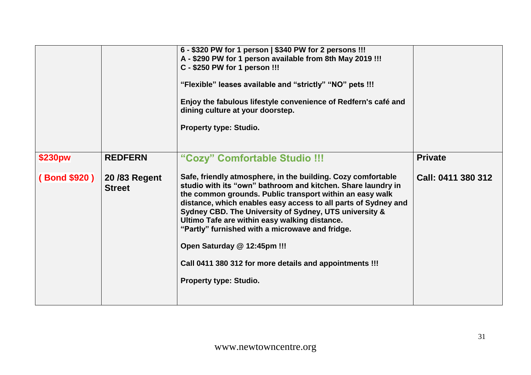|              |                               | 6 - \$320 PW for 1 person   \$340 PW for 2 persons !!!<br>A - \$290 PW for 1 person available from 8th May 2019 !!!<br>C - \$250 PW for 1 person !!!<br>"Flexible" leases available and "strictly" "NO" pets !!!<br>Enjoy the fabulous lifestyle convenience of Redfern's café and<br>dining culture at your doorstep.<br><b>Property type: Studio.</b>                                                                                                                                                                                      |                    |
|--------------|-------------------------------|----------------------------------------------------------------------------------------------------------------------------------------------------------------------------------------------------------------------------------------------------------------------------------------------------------------------------------------------------------------------------------------------------------------------------------------------------------------------------------------------------------------------------------------------|--------------------|
| \$230pw      | <b>REDFERN</b>                | "Cozy" Comfortable Studio !!!                                                                                                                                                                                                                                                                                                                                                                                                                                                                                                                | <b>Private</b>     |
| (Bond \$920) | 20/83 Regent<br><b>Street</b> | Safe, friendly atmosphere, in the building. Cozy comfortable<br>studio with its "own" bathroom and kitchen. Share laundry in<br>the common grounds. Public transport within an easy walk<br>distance, which enables easy access to all parts of Sydney and<br>Sydney CBD. The University of Sydney, UTS university &<br>Ultimo Tafe are within easy walking distance.<br>"Partly" furnished with a microwave and fridge.<br>Open Saturday @ 12:45pm !!!<br>Call 0411 380 312 for more details and appointments !!!<br>Property type: Studio. | Call: 0411 380 312 |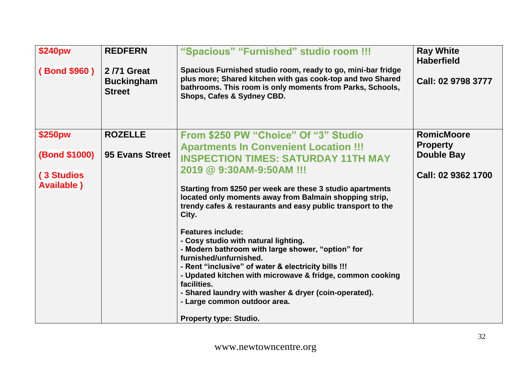| <b>\$240pw</b><br>(Bond \$960)                                      | <b>REDFERN</b><br>2/71 Great<br><b>Buckingham</b><br><b>Street</b> | "Spacious" "Furnished" studio room !!!<br>Spacious Furnished studio room, ready to go, mini-bar fridge<br>plus more; Shared kitchen with gas cook-top and two Shared<br>bathrooms. This room is only moments from Parks, Schools,<br>Shops, Cafes & Sydney CBD.                                                                                                                                                                                                                                                                                                                                                                                                                                                                                                                | <b>Ray White</b><br><b>Haberfield</b><br>Call: 02 9798 3777                     |
|---------------------------------------------------------------------|--------------------------------------------------------------------|--------------------------------------------------------------------------------------------------------------------------------------------------------------------------------------------------------------------------------------------------------------------------------------------------------------------------------------------------------------------------------------------------------------------------------------------------------------------------------------------------------------------------------------------------------------------------------------------------------------------------------------------------------------------------------------------------------------------------------------------------------------------------------|---------------------------------------------------------------------------------|
| \$250pw<br><b>(Bond \$1000)</b><br>(3 Studios<br><b>Available</b> ) | <b>ROZELLE</b><br>95 Evans Street                                  | From \$250 PW "Choice" Of "3" Studio<br><b>Apartments In Convenient Location !!!</b><br><b>INSPECTION TIMES: SATURDAY 11TH MAY</b><br>2019 @ 9:30AM-9:50AM !!!<br>Starting from \$250 per week are these 3 studio apartments<br>located only moments away from Balmain shopping strip,<br>trendy cafes & restaurants and easy public transport to the<br>City.<br><b>Features include:</b><br>- Cosy studio with natural lighting.<br>- Modern bathroom with large shower, "option" for<br>furnished/unfurnished.<br>- Rent "inclusive" of water & electricity bills !!!<br>- Updated kitchen with microwave & fridge, common cooking<br>facilities.<br>- Shared laundry with washer & dryer (coin-operated).<br>- Large common outdoor area.<br><b>Property type: Studio.</b> | <b>RomicMoore</b><br><b>Property</b><br><b>Double Bay</b><br>Call: 02 9362 1700 |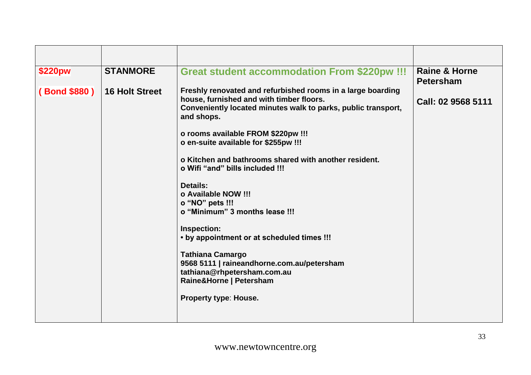| \$220pw            | <b>STANMORE</b>       | <b>Great student accommodation From \$220pw !!!</b>                                                                                                                                                                                                                                                                                                                                                                                                                                                                                                                                                                                                                                             | <b>Raine &amp; Horne</b><br><b>Petersham</b> |
|--------------------|-----------------------|-------------------------------------------------------------------------------------------------------------------------------------------------------------------------------------------------------------------------------------------------------------------------------------------------------------------------------------------------------------------------------------------------------------------------------------------------------------------------------------------------------------------------------------------------------------------------------------------------------------------------------------------------------------------------------------------------|----------------------------------------------|
| <b>Bond \$880)</b> | <b>16 Holt Street</b> | Freshly renovated and refurbished rooms in a large boarding<br>house, furnished and with timber floors.<br>Conveniently located minutes walk to parks, public transport,<br>and shops.<br>o rooms available FROM \$220pw !!!<br>o en-suite available for \$255pw !!!<br>o Kitchen and bathrooms shared with another resident.<br>o Wifi "and" bills included !!!<br><b>Details:</b><br>o Available NOW !!!<br>o "NO" pets !!!<br>o "Minimum" 3 months lease !!!<br>Inspection:<br>• by appointment or at scheduled times !!!<br><b>Tathiana Camargo</b><br>9568 5111   raineandhorne.com.au/petersham<br>tathiana@rhpetersham.com.au<br>Raine&Horne   Petersham<br><b>Property type: House.</b> | Call: 02 9568 5111                           |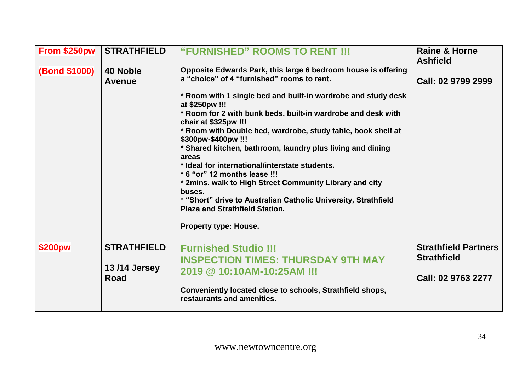| From \$250pw         | <b>STRATHFIELD</b>                                | "FURNISHED" ROOMS TO RENT !!!                                                                                                                                                                                                                                                                                                                                                                                                                                                                                                                                                                                                                                                                                                                          | <b>Raine &amp; Horne</b><br><b>Ashfield</b>                             |
|----------------------|---------------------------------------------------|--------------------------------------------------------------------------------------------------------------------------------------------------------------------------------------------------------------------------------------------------------------------------------------------------------------------------------------------------------------------------------------------------------------------------------------------------------------------------------------------------------------------------------------------------------------------------------------------------------------------------------------------------------------------------------------------------------------------------------------------------------|-------------------------------------------------------------------------|
| <b>(Bond \$1000)</b> | 40 Noble<br><b>Avenue</b>                         | Opposite Edwards Park, this large 6 bedroom house is offering<br>a "choice" of 4 "furnished" rooms to rent.<br>* Room with 1 single bed and built-in wardrobe and study desk<br>at \$250pw !!!<br>* Room for 2 with bunk beds, built-in wardrobe and desk with<br>chair at \$325pw !!!<br>* Room with Double bed, wardrobe, study table, book shelf at<br>\$300pw-\$400pw !!!<br>* Shared kitchen, bathroom, laundry plus living and dining<br>areas<br>* Ideal for international/interstate students.<br>* 6 "or" 12 months lease !!!<br>* 2mins. walk to High Street Community Library and city<br>buses.<br>* "Short" drive to Australian Catholic University, Strathfield<br><b>Plaza and Strathfield Station.</b><br><b>Property type: House.</b> | Call: 02 9799 2999                                                      |
| \$200pw              | <b>STRATHFIELD</b><br>13/14 Jersey<br><b>Road</b> | <b>Furnished Studio !!!</b><br><b>INSPECTION TIMES: THURSDAY 9TH MAY</b><br>2019 @ 10:10AM-10:25AM !!!<br>Conveniently located close to schools, Strathfield shops,<br>restaurants and amenities.                                                                                                                                                                                                                                                                                                                                                                                                                                                                                                                                                      | <b>Strathfield Partners</b><br><b>Strathfield</b><br>Call: 02 9763 2277 |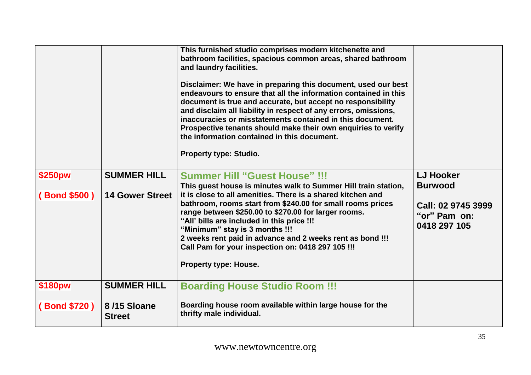|              |                              | This furnished studio comprises modern kitchenette and<br>bathroom facilities, spacious common areas, shared bathroom<br>and laundry facilities.<br>Disclaimer: We have in preparing this document, used our best<br>endeavours to ensure that all the information contained in this<br>document is true and accurate, but accept no responsibility<br>and disclaim all liability in respect of any errors, omissions,<br>inaccuracies or misstatements contained in this document.<br>Prospective tenants should make their own enquiries to verify<br>the information contained in this document.<br>Property type: Studio. |                                                    |
|--------------|------------------------------|-------------------------------------------------------------------------------------------------------------------------------------------------------------------------------------------------------------------------------------------------------------------------------------------------------------------------------------------------------------------------------------------------------------------------------------------------------------------------------------------------------------------------------------------------------------------------------------------------------------------------------|----------------------------------------------------|
| \$250pw      | <b>SUMMER HILL</b>           | <b>Summer Hill "Guest House" !!!</b><br>This guest house is minutes walk to Summer Hill train station,                                                                                                                                                                                                                                                                                                                                                                                                                                                                                                                        | <b>LJ Hooker</b><br><b>Burwood</b>                 |
| (Bond \$500) | <b>14 Gower Street</b>       | it is close to all amenities. There is a shared kitchen and<br>bathroom, rooms start from \$240.00 for small rooms prices<br>range between \$250.00 to \$270.00 for larger rooms.<br>"All' bills are included in this price !!!<br>"Minimum" stay is 3 months !!!<br>2 weeks rent paid in advance and 2 weeks rent as bond !!!<br>Call Pam for your inspection on: 0418 297 105 !!!<br><b>Property type: House.</b>                                                                                                                                                                                                           | Call: 02 9745 3999<br>"or" Pam on:<br>0418 297 105 |
| \$180pw      | <b>SUMMER HILL</b>           | <b>Boarding House Studio Room !!!</b>                                                                                                                                                                                                                                                                                                                                                                                                                                                                                                                                                                                         |                                                    |
| (Bond \$720) | 8/15 Sloane<br><b>Street</b> | Boarding house room available within large house for the<br>thrifty male individual.                                                                                                                                                                                                                                                                                                                                                                                                                                                                                                                                          |                                                    |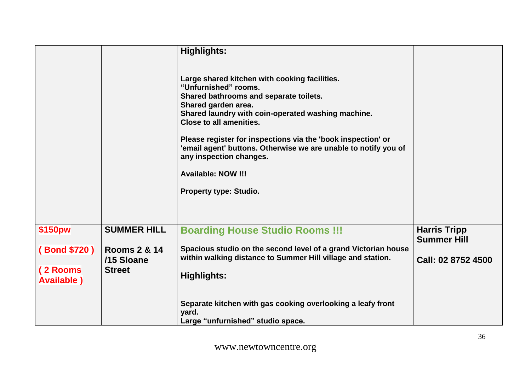|                                |                                       | <b>Highlights:</b>                                                                                                                                                                                                                                                                                                                                                                                                                                         |                                           |
|--------------------------------|---------------------------------------|------------------------------------------------------------------------------------------------------------------------------------------------------------------------------------------------------------------------------------------------------------------------------------------------------------------------------------------------------------------------------------------------------------------------------------------------------------|-------------------------------------------|
|                                |                                       | Large shared kitchen with cooking facilities.<br>"Unfurnished" rooms.<br>Shared bathrooms and separate toilets.<br>Shared garden area.<br>Shared laundry with coin-operated washing machine.<br><b>Close to all amenities.</b><br>Please register for inspections via the 'book inspection' or<br>'email agent' buttons. Otherwise we are unable to notify you of<br>any inspection changes.<br><b>Available: NOW !!!</b><br><b>Property type: Studio.</b> |                                           |
| \$150pw                        | <b>SUMMER HILL</b>                    | <b>Boarding House Studio Rooms !!!</b>                                                                                                                                                                                                                                                                                                                                                                                                                     | <b>Harris Tripp</b><br><b>Summer Hill</b> |
| (Bond \$720)                   | <b>Rooms 2 &amp; 14</b><br>/15 Sloane | Spacious studio on the second level of a grand Victorian house<br>within walking distance to Summer Hill village and station.                                                                                                                                                                                                                                                                                                                              | Call: 02 8752 4500                        |
| (2 Rooms<br><b>Available</b> ) | <b>Street</b>                         | <b>Highlights:</b>                                                                                                                                                                                                                                                                                                                                                                                                                                         |                                           |
|                                |                                       | Separate kitchen with gas cooking overlooking a leafy front<br>yard.<br>Large "unfurnished" studio space.                                                                                                                                                                                                                                                                                                                                                  |                                           |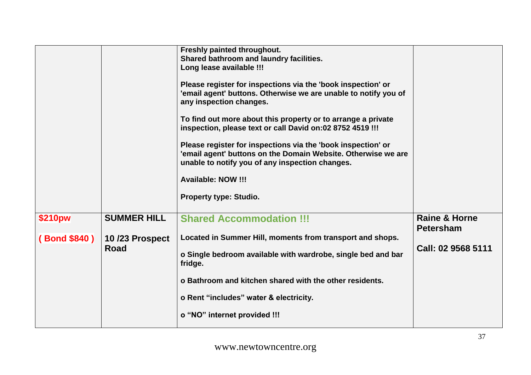|               |                    | Freshly painted throughout.<br>Shared bathroom and laundry facilities.<br>Long lease available !!!<br>Please register for inspections via the 'book inspection' or<br>'email agent' buttons. Otherwise we are unable to notify you of<br>any inspection changes.<br>To find out more about this property or to arrange a private<br>inspection, please text or call David on:02 8752 4519 !!!<br>Please register for inspections via the 'book inspection' or<br>'email agent' buttons on the Domain Website. Otherwise we are<br>unable to notify you of any inspection changes.<br><b>Available: NOW !!!</b><br><b>Property type: Studio.</b> |                                              |
|---------------|--------------------|-------------------------------------------------------------------------------------------------------------------------------------------------------------------------------------------------------------------------------------------------------------------------------------------------------------------------------------------------------------------------------------------------------------------------------------------------------------------------------------------------------------------------------------------------------------------------------------------------------------------------------------------------|----------------------------------------------|
| \$210pw       | <b>SUMMER HILL</b> | <b>Shared Accommodation !!!</b>                                                                                                                                                                                                                                                                                                                                                                                                                                                                                                                                                                                                                 | <b>Raine &amp; Horne</b><br><b>Petersham</b> |
| (Bond \$840 ) | 10/23 Prospect     | Located in Summer Hill, moments from transport and shops.                                                                                                                                                                                                                                                                                                                                                                                                                                                                                                                                                                                       |                                              |
|               | Road               | o Single bedroom available with wardrobe, single bed and bar<br>fridge.                                                                                                                                                                                                                                                                                                                                                                                                                                                                                                                                                                         | Call: 02 9568 5111                           |
|               |                    | o Bathroom and kitchen shared with the other residents.                                                                                                                                                                                                                                                                                                                                                                                                                                                                                                                                                                                         |                                              |
|               |                    | o Rent "includes" water & electricity.                                                                                                                                                                                                                                                                                                                                                                                                                                                                                                                                                                                                          |                                              |
|               |                    | o "NO" internet provided !!!                                                                                                                                                                                                                                                                                                                                                                                                                                                                                                                                                                                                                    |                                              |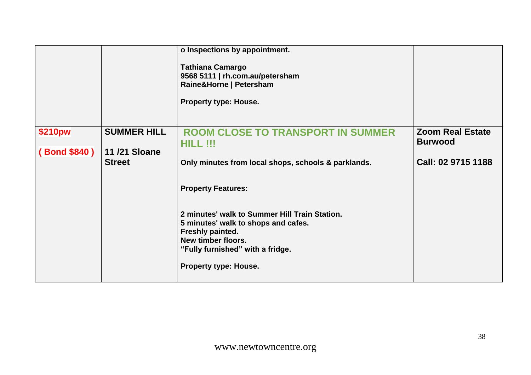|                         |                                                            | o Inspections by appointment.<br><b>Tathiana Camargo</b><br>9568 5111   rh.com.au/petersham<br>Raine&Horne   Petersham<br><b>Property type: House.</b>                                                                                                                                                                                         |                                                                 |
|-------------------------|------------------------------------------------------------|------------------------------------------------------------------------------------------------------------------------------------------------------------------------------------------------------------------------------------------------------------------------------------------------------------------------------------------------|-----------------------------------------------------------------|
| \$210pw<br>(Bond \$840) | <b>SUMMER HILL</b><br><b>11/21 Sloane</b><br><b>Street</b> | <b>ROOM CLOSE TO TRANSPORT IN SUMMER</b><br>HILL !!!<br>Only minutes from local shops, schools & parklands.<br><b>Property Features:</b><br>2 minutes' walk to Summer Hill Train Station.<br>5 minutes' walk to shops and cafes.<br>Freshly painted.<br>New timber floors.<br>"Fully furnished" with a fridge.<br><b>Property type: House.</b> | <b>Zoom Real Estate</b><br><b>Burwood</b><br>Call: 02 9715 1188 |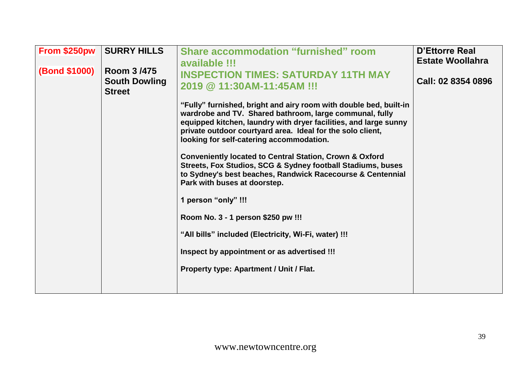| <b>SURRY HILLS</b><br>Room 3/475<br><b>South Dowling</b><br><b>Street</b> | <b>Share accommodation "furnished" room</b><br>available !!!<br><b>INSPECTION TIMES: SATURDAY 11TH MAY</b><br>2019 @ 11:30AM-11:45AM !!!<br>"Fully" furnished, bright and airy room with double bed, built-in<br>wardrobe and TV. Shared bathroom, large communal, fully<br>equipped kitchen, laundry with dryer facilities, and large sunny<br>private outdoor courtyard area. Ideal for the solo client,<br>looking for self-catering accommodation.<br><b>Conveniently located to Central Station, Crown &amp; Oxford</b><br>Streets, Fox Studios, SCG & Sydney football Stadiums, buses<br>to Sydney's best beaches, Randwick Racecourse & Centennial<br>Park with buses at doorstep.<br>1 person "only" !!! | <b>D'Ettorre Real</b><br><b>Estate Woollahra</b><br>Call: 02 8354 0896 |
|---------------------------------------------------------------------------|------------------------------------------------------------------------------------------------------------------------------------------------------------------------------------------------------------------------------------------------------------------------------------------------------------------------------------------------------------------------------------------------------------------------------------------------------------------------------------------------------------------------------------------------------------------------------------------------------------------------------------------------------------------------------------------------------------------|------------------------------------------------------------------------|
|                                                                           |                                                                                                                                                                                                                                                                                                                                                                                                                                                                                                                                                                                                                                                                                                                  |                                                                        |
|                                                                           | Room No. 3 - 1 person \$250 pw !!!<br>"All bills" included (Electricity, Wi-Fi, water) !!!<br>Inspect by appointment or as advertised !!!<br>Property type: Apartment / Unit / Flat.                                                                                                                                                                                                                                                                                                                                                                                                                                                                                                                             |                                                                        |
|                                                                           |                                                                                                                                                                                                                                                                                                                                                                                                                                                                                                                                                                                                                                                                                                                  |                                                                        |